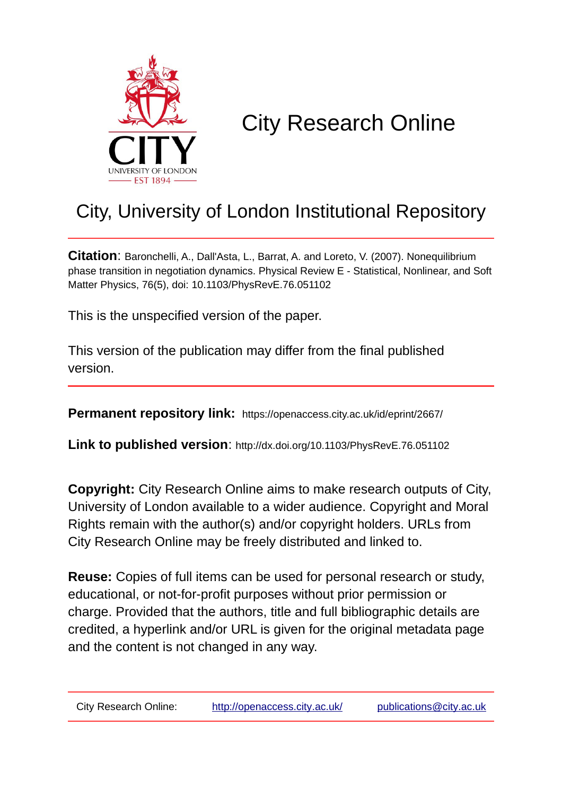

## City Research Online

## City, University of London Institutional Repository

**Citation**: Baronchelli, A., Dall'Asta, L., Barrat, A. and Loreto, V. (2007). Nonequilibrium phase transition in negotiation dynamics. Physical Review E - Statistical, Nonlinear, and Soft Matter Physics, 76(5), doi: 10.1103/PhysRevE.76.051102

This is the unspecified version of the paper.

This version of the publication may differ from the final published version.

**Permanent repository link:** https://openaccess.city.ac.uk/id/eprint/2667/

**Link to published version**: http://dx.doi.org/10.1103/PhysRevE.76.051102

**Copyright:** City Research Online aims to make research outputs of City, University of London available to a wider audience. Copyright and Moral Rights remain with the author(s) and/or copyright holders. URLs from City Research Online may be freely distributed and linked to.

**Reuse:** Copies of full items can be used for personal research or study, educational, or not-for-profit purposes without prior permission or charge. Provided that the authors, title and full bibliographic details are credited, a hyperlink and/or URL is given for the original metadata page and the content is not changed in any way.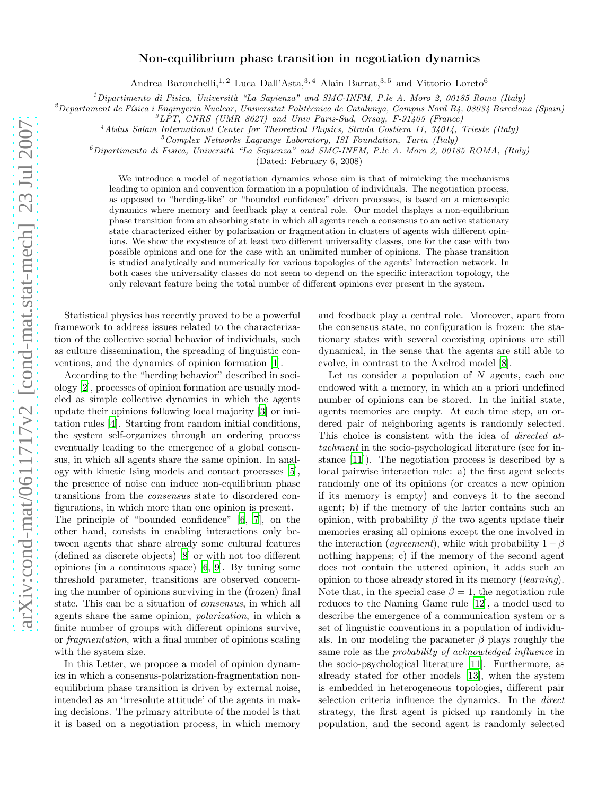## Non-equilibrium phase transition in negotiation dynamics

Andrea Baronchelli,<sup>1,2</sup> Luca Dall'Asta,<sup>3,4</sup> Alain Barrat,<sup>3,5</sup> and Vittorio Loreto<sup>6</sup>

<sup>1</sup>Dipartimento di Fisica, Università "La Sapienza" and SMC-INFM, P.le A. Moro 2, 00185 Roma (Italy)

<sup>2</sup>Departament de Física i Enginyeria Nuclear, Universitat Politècnica de Catalunya, Campus Nord B4, 08034 Barcelona (Spain)

<sup>3</sup>*LPT, CNRS (UMR 8627) and Univ Paris-Sud, Orsay, F-91405 (France)*

<sup>4</sup>*Abdus Salam International Center for Theoretical Physics, Strada Costiera 11, 34014, Trieste (Italy)*

<sup>5</sup>*Complex Networks Lagrange Laboratory, ISI Foundation, Turin (Italy)*

<sup>6</sup>*Dipartimento di Fisica, Universit`a "La Sapienza" and SMC-INFM, P.le A. Moro 2, 00185 ROMA, (Italy)*

(Dated: February 6, 2008)

We introduce a model of negotiation dynamics whose aim is that of mimicking the mechanisms leading to opinion and convention formation in a population of individuals. The negotiation process, as opposed to "herding-like" or "bounded confidence" driven processes, is based on a microscopic dynamics where memory and feedback play a central role. Our model displays a non-equilibrium phase transition from an absorbing state in which all agents reach a consensus to an active stationary state characterized either by polarization or fragmentation in clusters of agents with different opinions. We show the exystence of at least two different universality classes, one for the case with two possible opinions and one for the case with an unlimited number of opinions. The phase transition is studied analytically and numerically for various topologies of the agents' interaction network. In both cases the universality classes do not seem to depend on the specific interaction topology, the only relevant feature being the total number of different opinions ever present in the system.

Statistical physics has recently proved to be a powerful framework to address issues related to the characterization of the collective social behavior of individuals, such as culture dissemination, the spreading of linguistic conventions, and the dynamics of opinion formation [\[1\]](#page-4-0).

According to the "herding behavior" described in sociology [\[2](#page-4-1)], processes of opinion formation are usually modeled as simple collective dynamics in which the agents update their opinions following local majority [\[3\]](#page-4-2) or imitation rules [\[4\]](#page-4-3). Starting from random initial conditions, the system self-organizes through an ordering process eventually leading to the emergence of a global consensus, in which all agents share the same opinion. In analogy with kinetic Ising models and contact processes [\[5\]](#page-4-4), the presence of noise can induce non-equilibrium phase transitions from the consensus state to disordered configurations, in which more than one opinion is present.

The principle of "bounded confidence" [\[6,](#page-4-5) [7\]](#page-4-6), on the other hand, consists in enabling interactions only between agents that share already some cultural features (defined as discrete objects) [\[8\]](#page-4-7) or with not too different opinions (in a continuous space) [\[6](#page-4-5), [9\]](#page-4-8). By tuning some threshold parameter, transitions are observed concerning the number of opinions surviving in the (frozen) final state. This can be a situation of consensus, in which all agents share the same opinion, polarization, in which a finite number of groups with different opinions survive, or fragmentation, with a final number of opinions scaling with the system size.

In this Letter, we propose a model of opinion dynamics in which a consensus-polarization-fragmentation nonequilibrium phase transition is driven by external noise, intended as an 'irresolute attitude' of the agents in making decisions. The primary attribute of the model is that it is based on a negotiation process, in which memory and feedback play a central role. Moreover, apart from the consensus state, no configuration is frozen: the stationary states with several coexisting opinions are still dynamical, in the sense that the agents are still able to evolve, in contrast to the Axelrod model [\[8](#page-4-7)].

Let us consider a population of  $N$  agents, each one endowed with a memory, in which an a priori undefined number of opinions can be stored. In the initial state, agents memories are empty. At each time step, an ordered pair of neighboring agents is randomly selected. This choice is consistent with the idea of directed attachment in the socio-psychological literature (see for instance [\[11](#page-4-9)]). The negotiation process is described by a local pairwise interaction rule: a) the first agent selects randomly one of its opinions (or creates a new opinion if its memory is empty) and conveys it to the second agent; b) if the memory of the latter contains such an opinion, with probability  $\beta$  the two agents update their memories erasing all opinions except the one involved in the interaction (agreement), while with probability  $1 - \beta$ nothing happens; c) if the memory of the second agent does not contain the uttered opinion, it adds such an opinion to those already stored in its memory (learning). Note that, in the special case  $\beta = 1$ , the negotiation rule reduces to the Naming Game rule [\[12\]](#page-4-10), a model used to describe the emergence of a communication system or a set of linguistic conventions in a population of individuals. In our modeling the parameter  $\beta$  plays roughly the same role as the probability of acknowledged influence in the socio-psychological literature [\[11\]](#page-4-9). Furthermore, as already stated for other models [\[13](#page-4-11)], when the system is embedded in heterogeneous topologies, different pair selection criteria influence the dynamics. In the direct strategy, the first agent is picked up randomly in the population, and the second agent is randomly selected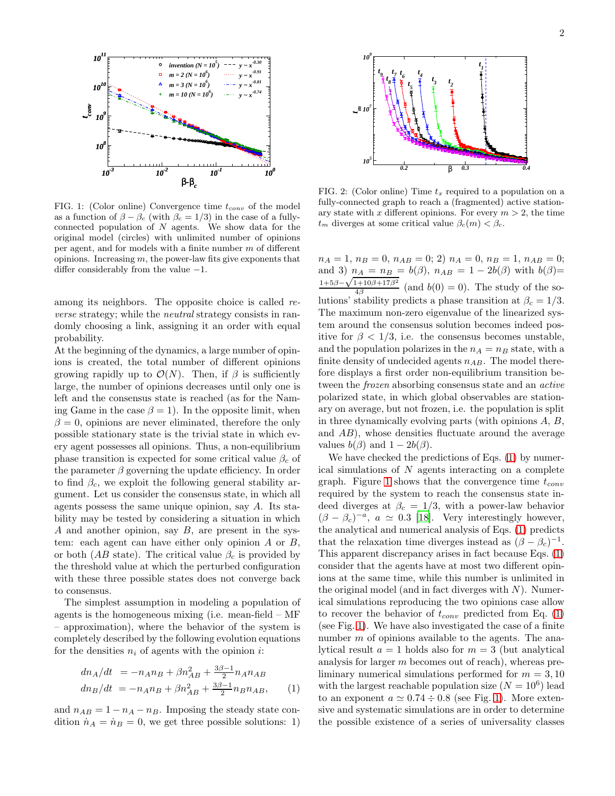

<span id="page-2-1"></span>FIG. 1: (Color online) Convergence time  $t_{conv}$  of the model as a function of  $\beta - \beta_c$  (with  $\beta_c = 1/3$ ) in the case of a fullyconnected population of  $N$  agents. We show data for the original model (circles) with unlimited number of opinions per agent, and for models with a finite number m of different opinions. Increasing  $m$ , the power-law fits give exponents that differ considerably from the value −1.

among its neighbors. The opposite choice is called reverse strategy; while the neutral strategy consists in randomly choosing a link, assigning it an order with equal probability.

At the beginning of the dynamics, a large number of opinions is created, the total number of different opinions growing rapidly up to  $\mathcal{O}(N)$ . Then, if  $\beta$  is sufficiently large, the number of opinions decreases until only one is left and the consensus state is reached (as for the Naming Game in the case  $\beta = 1$ ). In the opposite limit, when  $\beta = 0$ , opinions are never eliminated, therefore the only possible stationary state is the trivial state in which every agent possesses all opinions. Thus, a non-equilibrium phase transition is expected for some critical value  $\beta_c$  of the parameter  $\beta$  governing the update efficiency. In order to find  $\beta_c$ , we exploit the following general stability argument. Let us consider the consensus state, in which all agents possess the same unique opinion, say A. Its stability may be tested by considering a situation in which A and another opinion, say B, are present in the system: each agent can have either only opinion  $A$  or  $B$ , or both (AB state). The critical value  $\beta_c$  is provided by the threshold value at which the perturbed configuration with these three possible states does not converge back to consensus.

The simplest assumption in modeling a population of agents is the homogeneous mixing (i.e. mean-field – MF – approximation), where the behavior of the system is completely described by the following evolution equations for the densities  $n_i$  of agents with the opinion i:

<span id="page-2-0"></span>
$$
dn_A/dt = -n_A n_B + \beta n_{AB}^2 + \frac{3\beta - 1}{2} n_A n_{AB}
$$
  
\n
$$
dn_B/dt = -n_A n_B + \beta n_{AB}^2 + \frac{3\beta - 1}{2} n_B n_{AB},
$$
 (1)

and  $n_{AB} = 1 - n_A - n_B$ . Imposing the steady state condition  $\dot{n}_A = \dot{n}_B = 0$ , we get three possible solutions: 1)



<span id="page-2-2"></span>FIG. 2: (Color online) Time  $t_x$  required to a population on a fully-connected graph to reach a (fragmented) active stationary state with x different opinions. For every  $m > 2$ , the time  $t_m$  diverges at some critical value  $\beta_c(m) < \beta_c$ .

 $n_A = 1, n_B = 0, n_{AB} = 0; 2)$   $n_A = 0, n_B = 1, n_{AB} = 0;$ and 3)  $n_A = n_B = b(\beta)$ ,  $n_{AB} = 1 - 2b(\beta)$  with  $b(\beta) =$ <br>  $1+5\beta-\sqrt{1+10\beta+17\beta^2}$  (and  $b(\beta) = 0$ ). The study of the set  $\frac{(4+10p+11p)}{4\beta}$  (and  $b(0)=0$ ). The study of the solutions' stability predicts a phase transition at  $\beta_c = 1/3$ . The maximum non-zero eigenvalue of the linearized system around the consensus solution becomes indeed positive for  $\beta < 1/3$ , i.e. the consensus becomes unstable, and the population polarizes in the  $n_A = n_B$  state, with a finite density of undecided agents  $n_{AB}$ . The model therefore displays a first order non-equilibrium transition between the frozen absorbing consensus state and an active polarized state, in which global observables are stationary on average, but not frozen, i.e. the population is split in three dynamically evolving parts (with opinions A, B, and AB), whose densities fluctuate around the average values  $b(\beta)$  and  $1 - 2b(\beta)$ .

We have checked the predictions of Eqs. [\(1\)](#page-2-0) by numerical simulations of  $N$  agents interacting on a complete graph. Figure [1](#page-2-1) shows that the convergence time  $t_{conv}$ required by the system to reach the consensus state indeed diverges at  $\beta_c = 1/3$ , with a power-law behavior  $(\beta - \beta_c)^{-a}$ ,  $a \simeq 0.3$  [\[18\]](#page-5-0). Very interestingly however, the analytical and numerical analysis of Eqs. [\(1\)](#page-2-0) predicts that the relaxation time diverges instead as  $(\beta - \beta_c)^{-1}$ . This apparent discrepancy arises in fact because Eqs. [\(1\)](#page-2-0) consider that the agents have at most two different opinions at the same time, while this number is unlimited in the original model (and in fact diverges with  $N$ ). Numerical simulations reproducing the two opinions case allow to recover the behavior of  $t_{conv}$  predicted from Eq. [\(1\)](#page-2-0) (see Fig. [1\)](#page-2-1). We have also investigated the case of a finite number  $m$  of opinions available to the agents. The analytical result  $a = 1$  holds also for  $m = 3$  (but analytical analysis for larger m becomes out of reach), whereas preliminary numerical simulations performed for  $m = 3, 10$ with the largest reachable population size  $(N = 10^6)$  lead to an exponent  $a \approx 0.74 \div 0.8$  (see Fig. [1\)](#page-2-1). More extensive and systematic simulations are in order to determine the possible existence of a series of universality classes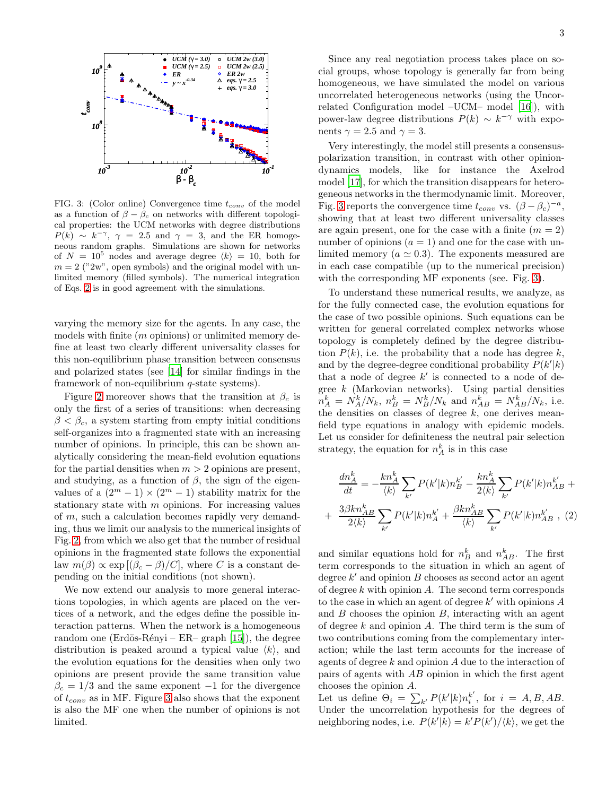

<span id="page-3-1"></span>FIG. 3: (Color online) Convergence time  $t_{conv}$  of the model as a function of  $\beta - \beta_c$  on networks with different topological properties: the UCM networks with degree distributions  $P(k) \sim k^{-\gamma}, \gamma = 2.5$  and  $\gamma = 3$ , and the ER homogeneous random graphs. Simulations are shown for networks of  $N = 10^5$  nodes and average degree  $\langle k \rangle = 10$ , both for  $m = 2$  ("2w", open symbols) and the original model with unlimited memory (filled symbols). The numerical integration of Eqs. [2](#page-3-0) is in good agreement with the simulations.

varying the memory size for the agents. In any case, the models with finite  $(m \text{ opinions})$  or unlimited memory define at least two clearly different universality classes for this non-equilibrium phase transition between consensus and polarized states (see [\[14\]](#page-4-12) for similar findings in the framework of non-equilibrium  $q$ -state systems).

Figure [2](#page-2-2) moreover shows that the transition at  $\beta_c$  is only the first of a series of transitions: when decreasing  $\beta < \beta_c$ , a system starting from empty initial conditions self-organizes into a fragmented state with an increasing number of opinions. In principle, this can be shown analytically considering the mean-field evolution equations for the partial densities when  $m > 2$  opinions are present, and studying, as a function of  $\beta$ , the sign of the eigenvalues of a  $(2^m - 1) \times (2^m - 1)$  stability matrix for the stationary state with  $m$  opinions. For increasing values of m, such a calculation becomes rapidly very demanding, thus we limit our analysis to the numerical insights of Fig. [2,](#page-2-2) from which we also get that the number of residual opinions in the fragmented state follows the exponential law  $m(\beta) \propto \exp[(\beta_c - \beta)/C]$ , where C is a constant depending on the initial conditions (not shown).

We now extend our analysis to more general interactions topologies, in which agents are placed on the vertices of a network, and the edges define the possible interaction patterns. When the network is a homogeneous random one (Erdös-Rényi – ER– graph [\[15\]](#page-4-13)), the degree distribution is peaked around a typical value  $\langle k \rangle$ , and the evolution equations for the densities when only two opinions are present provide the same transition value  $\beta_c = 1/3$  and the same exponent -1 for the divergence of  $t_{conv}$  as in MF. Figure [3](#page-3-1) also shows that the exponent is also the MF one when the number of opinions is not limited.

Since any real negotiation process takes place on social groups, whose topology is generally far from being homogeneous, we have simulated the model on various uncorrelated heterogeneous networks (using the Uncorrelated Configuration model –UCM– model [\[16\]](#page-4-14)), with power-law degree distributions  $P(k) \sim k^{-\gamma}$  with exponents  $\gamma = 2.5$  and  $\gamma = 3$ .

Very interestingly, the model still presents a consensuspolarization transition, in contrast with other opiniondynamics models, like for instance the Axelrod model [\[17\]](#page-4-15), for which the transition disappears for heterogeneous networks in the thermodynamic limit. Moreover, Fig. [3](#page-3-1) reports the convergence time  $t_{conv}$  vs.  $(\beta - \beta_c)^{-a}$ , showing that at least two different universality classes are again present, one for the case with a finite  $(m = 2)$ number of opinions  $(a = 1)$  and one for the case with unlimited memory ( $a \approx 0.3$ ). The exponents measured are in each case compatible (up to the numerical precision) with the corresponding MF exponents (see. Fig. [3\)](#page-3-1).

To understand these numerical results, we analyze, as for the fully connected case, the evolution equations for the case of two possible opinions. Such equations can be written for general correlated complex networks whose topology is completely defined by the degree distribution  $P(k)$ , i.e. the probability that a node has degree k, and by the degree-degree conditional probability  $\overline{P}(k'|k)$ that a node of degree  $k'$  is connected to a node of degree  $k$  (Markovian networks). Using partial densities  $n_A^k = N_A^k/N_k$ ,  $n_B^k = N_B^k/N_k$  and  $n_{AB}^k = N_{AB}^k/N_k$ , i.e. the densities on classes of degree  $k$ , one derives meanfield type equations in analogy with epidemic models. Let us consider for definiteness the neutral pair selection strategy, the equation for  $n_A^k$  is in this case

<span id="page-3-0"></span>
$$
\frac{dn_A^k}{dt} = -\frac{kn_A^k}{\langle k \rangle} \sum_{k'} P(k'|k) n_B^{k'} - \frac{kn_A^k}{2 \langle k \rangle} \sum_{k'} P(k'|k) n_{AB}^{k'} +
$$

$$
+ \frac{3\beta kn_A^k}{2 \langle k \rangle} \sum_{k'} P(k'|k) n_A^{k'} + \frac{\beta kn_A^k}{\langle k \rangle} \sum_{k'} P(k'|k) n_{AB}^{k'}, (2)
$$

and similar equations hold for  $n_B^k$  and  $n_{AB}^k$ . The first term corresponds to the situation in which an agent of degree  $k'$  and opinion  $B$  chooses as second actor an agent of degree  $k$  with opinion  $A$ . The second term corresponds to the case in which an agent of degree  $k'$  with opinions  $A$ and  $B$  chooses the opinion  $B$ , interacting with an agent of degree  $k$  and opinion  $A$ . The third term is the sum of two contributions coming from the complementary interaction; while the last term accounts for the increase of agents of degree  $k$  and opinion  $A$  due to the interaction of pairs of agents with AB opinion in which the first agent chooses the opinion A.

Let us define  $\Theta_i = \sum_{k'} P(k'|k) n_i^{k'}$  $i<sup>k</sup>$ , for  $i = A, B, AB$ . Under the uncorrelation hypothesis for the degrees of neighboring nodes, i.e.  $P(k'|k) = k'P(k')/\langle k \rangle$ , we get the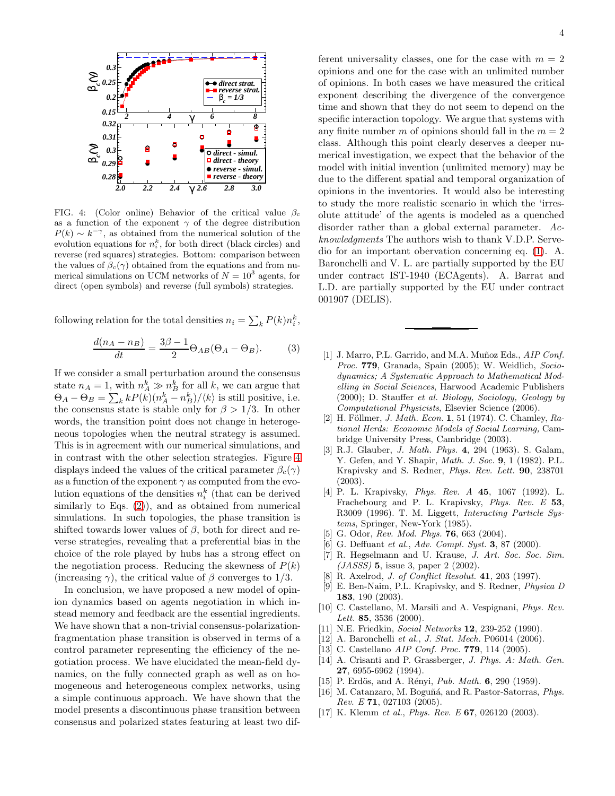

<span id="page-4-16"></span>FIG. 4: (Color online) Behavior of the critical value  $\beta_c$ as a function of the exponent  $\gamma$  of the degree distribution  $P(k) \sim k^{-\gamma}$ , as obtained from the numerical solution of the evolution equations for  $n_i^k$ , for both direct (black circles) and reverse (red squares) strategies. Bottom: comparison between the values of  $\beta_c(\gamma)$  obtained from the equations and from numerical simulations on UCM networks of  $N = 10^3$  agents, for direct (open symbols) and reverse (full symbols) strategies.

following relation for the total densities  $n_i = \sum_k P(k)n_i^k$ ,

$$
\frac{d(n_A - n_B)}{dt} = \frac{3\beta - 1}{2} \Theta_{AB} (\Theta_A - \Theta_B). \tag{3}
$$

If we consider a small perturbation around the consensus state  $n_A = 1$ , with  $n_A^k \gg n_B^k$  for all k, we can argue that  $\Theta_A - \Theta_B = \sum_k k P(k) (n_A^k - n_B^k) / \langle k \rangle$  is still positive, i.e. the consensus state is stable only for  $\beta > 1/3$ . In other words, the transition point does not change in heterogeneous topologies when the neutral strategy is assumed. This is in agreement with our numerical simulations, and in contrast with the other selection strategies. Figure [4](#page-4-16) displays indeed the values of the critical parameter  $\beta_c(\gamma)$ as a function of the exponent  $\gamma$  as computed from the evolution equations of the densities  $n_i^k$  (that can be derived similarly to Eqs. [\(2\)](#page-3-0)), and as obtained from numerical simulations. In such topologies, the phase transition is shifted towards lower values of  $\beta$ , both for direct and reverse strategies, revealing that a preferential bias in the choice of the role played by hubs has a strong effect on the negotiation process. Reducing the skewness of  $P(k)$ (increasing  $\gamma$ ), the critical value of  $\beta$  converges to 1/3.

In conclusion, we have proposed a new model of opinion dynamics based on agents negotiation in which instead memory and feedback are the essential ingredients. We have shown that a non-trivial consensus-polarizationfragmentation phase transition is observed in terms of a control parameter representing the efficiency of the negotiation process. We have elucidated the mean-field dynamics, on the fully connected graph as well as on homogeneous and heterogeneous complex networks, using a simple continuous approach. We have shown that the model presents a discontinuous phase transition between consensus and polarized states featuring at least two dif-

ferent universality classes, one for the case with  $m = 2$ opinions and one for the case with an unlimited number of opinions. In both cases we have measured the critical exponent describing the divergence of the convergence time and shown that they do not seem to depend on the specific interaction topology. We argue that systems with any finite number m of opinions should fall in the  $m = 2$ class. Although this point clearly deserves a deeper numerical investigation, we expect that the behavior of the model with initial invention (unlimited memory) may be due to the different spatial and temporal organization of opinions in the inventories. It would also be interesting to study the more realistic scenario in which the 'irresolute attitude' of the agents is modeled as a quenched disorder rather than a global external parameter. Acknowledgments The authors wish to thank V.D.P. Servedio for an important obervation concerning eq. [\(1\)](#page-2-0). A. Baronchelli and V. L. are partially supported by the EU under contract IST-1940 (ECAgents). A. Barrat and L.D. are partially supported by the EU under contract 001907 (DELIS).

- <span id="page-4-0"></span>[1] J. Marro, P.L. Garrido, and M.A. Muñoz Eds., *AIP Conf. Proc.* 779, Granada, Spain (2005); W. Weidlich, *Sociodynamics; A Systematic Approach to Mathematical Modelling in Social Sciences*, Harwood Academic Publishers (2000); D. Stauffer *et al. Biology, Sociology, Geology by Computational Physicists*, Elsevier Science (2006).
- <span id="page-4-1"></span>[2] H. Föllmer, *J. Math. Econ.* **1**, 51 (1974). C. Chamley, *Rational Herds: Economic Models of Social Learning,* Cambridge University Press, Cambridge (2003).
- <span id="page-4-2"></span>[3] R.J. Glauber, *J. Math. Phys.* 4, 294 (1963). S. Galam, Y. Gefen, and Y. Shapir, *Math. J. Soc.* 9, 1 (1982). P.L. Krapivsky and S. Redner, *Phys. Rev. Lett.* 90, 238701 (2003).
- <span id="page-4-3"></span>[4] P. L. Krapivsky, *Phys. Rev. A* 45, 1067 (1992). L. Frachebourg and P. L. Krapivsky, *Phys. Rev. E* 53, R3009 (1996). T. M. Liggett, *Interacting Particle Systems*, Springer, New-York (1985).
- <span id="page-4-4"></span>[5] G. Odor, *Rev. Mod. Phys.* 76, 663 (2004).
- <span id="page-4-5"></span>[6] G. Deffuant *et al.*, *Adv. Compl. Syst.* 3, 87 (2000).
- <span id="page-4-6"></span>[7] R. Hegselmann and U. Krause, *J. Art. Soc. Soc. Sim. (JASSS)* 5, issue 3, paper 2 (2002).
- <span id="page-4-7"></span>[8] R. Axelrod, *J. of Conflict Resolut.* 41, 203 (1997).
- <span id="page-4-8"></span>[9] E. Ben-Naim, P.L. Krapivsky, and S. Redner, *Physica D* 183, 190 (2003).
- [10] C. Castellano, M. Marsili and A. Vespignani, *Phys. Rev. Lett.* 85, 3536 (2000).
- <span id="page-4-9"></span>[11] N.E. Friedkin, *Social Networks* 12, 239-252 (1990).
- <span id="page-4-10"></span>[12] A. Baronchelli *et al.*, *J. Stat. Mech.* P06014 (2006).
- <span id="page-4-11"></span>[13] C. Castellano *AIP Conf. Proc.* 779, 114 (2005).
- <span id="page-4-12"></span>[14] A. Crisanti and P. Grassberger, *J. Phys. A: Math. Gen.* 27, 6955-6962 (1994).
- <span id="page-4-13"></span>[15] P. Erdös, and A. Rényi, *Pub. Math.* **6**, 290 (1959).
- <span id="page-4-14"></span>[16] M. Catanzaro, M. Boguñá, and R. Pastor-Satorras, *Phys. Rev. E* 71, 027103 (2005).
- <span id="page-4-15"></span>[17] K. Klemm *et al.*, *Phys. Rev. E* 67, 026120 (2003).